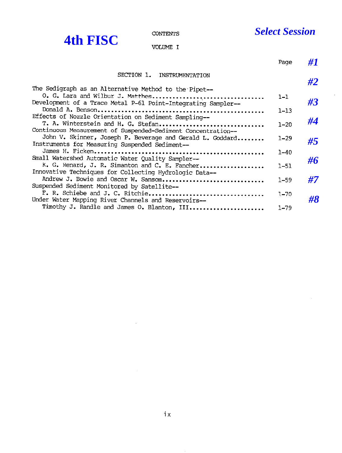$\bar{z}$ 

|                                                                                                                        | <b>CONTENTS</b>                                           | <b>Select Session</b> |    |
|------------------------------------------------------------------------------------------------------------------------|-----------------------------------------------------------|-----------------------|----|
| <b>4th FISC</b>                                                                                                        | VOLUME I                                                  |                       |    |
|                                                                                                                        |                                                           | Page                  | #1 |
|                                                                                                                        | SECTION 1. INSTRUMENTATION                                |                       | #2 |
| The Sedigraph as an Alternative Method to the Pipet--<br>Development of a Trace Metal P-61 Point-Integrating Sampler-- | O. G. Lara and Wilbur J. Matthes                          | $1 - 1$               | #3 |
| Effects of Nozzle Orientation on Sediment Sampling--                                                                   |                                                           | $1 - 13$              |    |
| Continuous Measurement of Suspended-Sediment Concentration--                                                           | T. A. Winterstein and H. G. Stefan                        | $1 - 20$              | #4 |
| Instruments for Measuring Suspended Sediment--                                                                         | John V. Skinner, Joseph P. Beverage and Gerald L. Goddard | $1 - 29$              | #5 |
| Small Watershed Automatic Water Quality Sampler--                                                                      |                                                           | $1 - 40$              | #6 |
| Innovative Techniques for Collecting Hydrologic Data--                                                                 | K. G. Renard, J. R. Simanton and C. E. Fancher            | $1 - 51$              |    |
| Suspended Sediment Monitored by Satellite--                                                                            | Andrew J. Bowie and Oscar W. Sansom                       | $1 - 59$              | #7 |
| Under Water Mapping River Channels and Reservoirs--                                                                    | F. R. Schiebe and J. C. Ritchie                           | $1 - 70$              | #8 |
|                                                                                                                        | Timothy J. Randle and James O. Blanton, III               | $1 - 79$              |    |

 $\sim$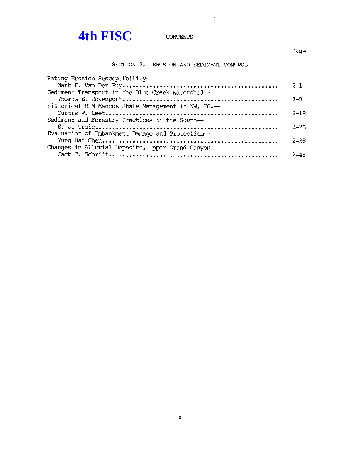## **4th FISC** contents

 $\sim$ 

SECTION 2. EROSION AND SEDIMENT CONTROL

| Rating Erosion Susceptibility--                     |          |
|-----------------------------------------------------|----------|
|                                                     | $2 - 1$  |
| Sediment Transport in the Blue Creek Watershed--    |          |
|                                                     | $2 - 8$  |
| Historical BLM Mancos Shale Management in NW, CO.-- |          |
|                                                     | $2 - 18$ |
| Sediment and Forestry Practices in the South--      |          |
|                                                     | $2 - 28$ |
| Evaluation of Embankment Damage and Protection--    |          |
|                                                     | $2 - 38$ |
| Changes in Alluvial Deposits, Upper Grand Canyon--  |          |
|                                                     | $2 - 48$ |
|                                                     |          |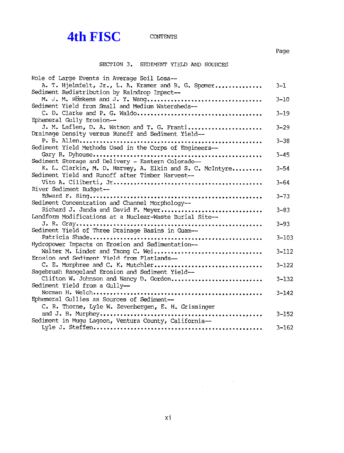# **4th FISC** CONTENTS

### Page

### SECTION 3. SEDIMENT YIELD AND SOURCES

| Role of Large Events in Average Soil Loss--                                           |           |
|---------------------------------------------------------------------------------------|-----------|
| A. T. Hjelmfelt, Jr., L. A. Kramer and R. G. Spomer                                   | $3 - 1$   |
| Sediment Redistribution by Raindrop Impact--                                          |           |
| M. J. M. Romkens and J. Y. Wang<br>Sediment Yield from Small and Medium Watersheds--  | $3 - 10$  |
|                                                                                       | $3 - 19$  |
| Ephemeral Gully Erosion--                                                             |           |
| J. M. Laflen, D. A. Watson and T. G. Franti                                           | $3 - 29$  |
| Drainage Density versus Runoff and Sediment Yield--                                   |           |
| Sediment Yield Methods Used in the Corps of Engineers--                               | $3 - 38$  |
|                                                                                       | $3 - 45$  |
| Sediment Storage and Delivery - Eastern Colorado--                                    |           |
| K. L. Clarkin, M. D. Harvey, A. Elkin and S. C. McIntyre                              | $3 - 54$  |
| Sediment Yield and Runoff after Timber Harvest--                                      |           |
| River Sediment Budget --                                                              | $3 - 64$  |
|                                                                                       | $3 - 73$  |
| Sediment Concentration and Channel Morphology--                                       |           |
| Richard J. Janda and David F. Meyer                                                   | $3 - 83$  |
| Landform Modifications at a Nuclear-Waste Burial Site--                               |           |
| Sediment Yield of Three Drainage Basins in Guam--                                     | $3 - 93$  |
|                                                                                       | $3 - 103$ |
| Hydropower Impacts on Erosion and Sedimentation--                                     |           |
| Walter M. Linder and Tsong C. Wei                                                     | $3 - 112$ |
| Erosion and Sediment Yield from Flatlands--                                           | $3 - 122$ |
| C. E. Murphree and C. K. Mutchler<br>Sagebrush Rangeland Erosion and Sediment Yield-- |           |
| Clifton W. Johnson and Nancy D. Gordon                                                | $3 - 132$ |
| Sediment Yield from a Gully--                                                         |           |
|                                                                                       | $3 - 142$ |
| Ephemeral Gullies as Sources of Sediment--                                            |           |
| C. R. Thorne, Lyle W. Zevenbergen, E. H. Grissinger                                   | $3 - 152$ |
| Sediment in Mugu Lagoon, Ventura County, California--                                 |           |
|                                                                                       | $3 - 162$ |

 $\label{eq:2.1} \frac{1}{\sqrt{2\pi}}\int_{0}^{\infty}\frac{1}{\sqrt{2\pi}}\left(\frac{1}{\sqrt{2\pi}}\right)^{2\alpha} \frac{1}{\sqrt{2\pi}}\frac{1}{\sqrt{2\pi}}\frac{1}{\sqrt{2\pi}}\frac{1}{\sqrt{2\pi}}\frac{1}{\sqrt{2\pi}}\frac{1}{\sqrt{2\pi}}\frac{1}{\sqrt{2\pi}}\frac{1}{\sqrt{2\pi}}\frac{1}{\sqrt{2\pi}}\frac{1}{\sqrt{2\pi}}\frac{1}{\sqrt{2\pi}}\frac{1}{\sqrt{2\pi}}\frac{1}{\sqrt{2\pi}}$